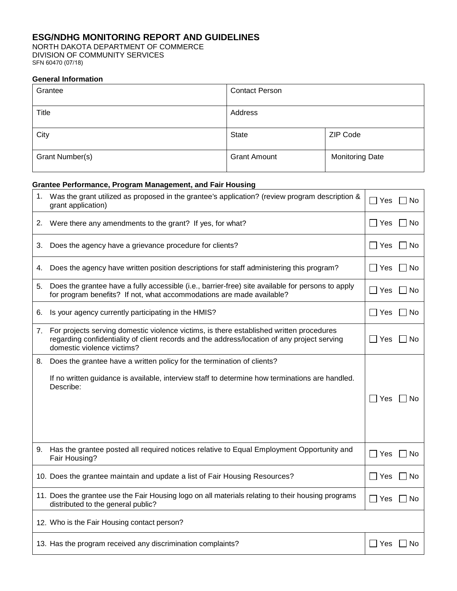# **ESG/NDHG MONITORING REPORT AND GUIDELINES**

NORTH DAKOTA DEPARTMENT OF COMMERCE DIVISION OF COMMUNITY SERVICES SFN 60470 (07/18)

#### **General Information**

| Grantee         | <b>Contact Person</b> |                        |  |
|-----------------|-----------------------|------------------------|--|
| Title           | Address               |                        |  |
| City            | <b>State</b>          | ZIP Code               |  |
| Grant Number(s) | <b>Grant Amount</b>   | <b>Monitoring Date</b> |  |

# **Grantee Performance, Program Management, and Fair Housing**

| 1. | Was the grant utilized as proposed in the grantee's application? (review program description &<br>grant application)                                                                                                 | $\Box$ Yes<br>No  |
|----|----------------------------------------------------------------------------------------------------------------------------------------------------------------------------------------------------------------------|-------------------|
| 2. | Were there any amendments to the grant? If yes, for what?                                                                                                                                                            | $\Box$ Yes<br>No. |
| 3. | Does the agency have a grievance procedure for clients?                                                                                                                                                              | l IYes<br>No.     |
| 4. | Does the agency have written position descriptions for staff administering this program?                                                                                                                             | $\Box$ Yes<br>No. |
| 5. | Does the grantee have a fully accessible (i.e., barrier-free) site available for persons to apply<br>for program benefits? If not, what accommodations are made available?                                           | Yes<br>No.        |
| 6. | Is your agency currently participating in the HMIS?                                                                                                                                                                  | $\Box$ Yes<br>∣No |
| 7. | For projects serving domestic violence victims, is there established written procedures<br>regarding confidentiality of client records and the address/location of any project serving<br>domestic violence victims? | $\Box$ Yes<br>No  |
| 8. | Does the grantee have a written policy for the termination of clients?<br>If no written guidance is available, interview staff to determine how terminations are handled.<br>Describe:                               | Yes<br>No.        |
| 9. | Has the grantee posted all required notices relative to Equal Employment Opportunity and<br>Fair Housing?                                                                                                            | $\Box$ Yes<br>No  |
|    | 10. Does the grantee maintain and update a list of Fair Housing Resources?                                                                                                                                           | Yes<br>No.        |
|    | 11. Does the grantee use the Fair Housing logo on all materials relating to their housing programs<br>distributed to the general public?                                                                             | $\Box$ Yes<br>No  |
|    | 12. Who is the Fair Housing contact person?                                                                                                                                                                          |                   |
|    | 13. Has the program received any discrimination complaints?                                                                                                                                                          | l IYes<br>No      |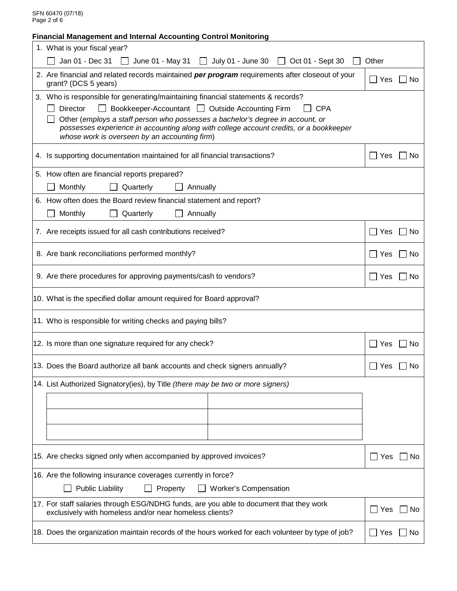SFN 60470 (07/18) Page 2 of 6

| <b>Financial Management and Internal Accounting Control Monitoring</b>                                                                                                                                                                                                                                                                                                                     |                    |  |  |  |
|--------------------------------------------------------------------------------------------------------------------------------------------------------------------------------------------------------------------------------------------------------------------------------------------------------------------------------------------------------------------------------------------|--------------------|--|--|--|
| 1. What is your fiscal year?                                                                                                                                                                                                                                                                                                                                                               |                    |  |  |  |
| Jan 01 - Dec 31 $\Box$ June 01 - May 31 $\Box$ July 01 - June 30 $\Box$ Oct 01 - Sept 30                                                                                                                                                                                                                                                                                                   | Other              |  |  |  |
| 2. Are financial and related records maintained per program requirements after closeout of your<br>grant? (DCS 5 years)                                                                                                                                                                                                                                                                    | $\Box$ Yes<br>No   |  |  |  |
| 3. Who is responsible for generating/maintaining financial statements & records?<br>Bookkeeper-Accountant   Outside Accounting Firm<br>Director<br><b>CPA</b><br>Other (employs a staff person who possesses a bachelor's degree in account, or<br>possesses experience in accounting along with college account credits, or a bookkeeper<br>whose work is overseen by an accounting firm) |                    |  |  |  |
| 4. Is supporting documentation maintained for all financial transactions?                                                                                                                                                                                                                                                                                                                  | $\Box$ Yes<br>l No |  |  |  |
| 5. How often are financial reports prepared?                                                                                                                                                                                                                                                                                                                                               |                    |  |  |  |
| Monthly<br>Quarterly<br>Annually                                                                                                                                                                                                                                                                                                                                                           |                    |  |  |  |
| 6. How often does the Board review financial statement and report?                                                                                                                                                                                                                                                                                                                         |                    |  |  |  |
| Monthly<br>Quarterly<br>Annually                                                                                                                                                                                                                                                                                                                                                           |                    |  |  |  |
| 7. Are receipts issued for all cash contributions received?                                                                                                                                                                                                                                                                                                                                | $\Box$ Yes<br>No   |  |  |  |
| 8. Are bank reconciliations performed monthly?<br>$\Box$ Yes                                                                                                                                                                                                                                                                                                                               |                    |  |  |  |
| 9. Are there procedures for approving payments/cash to vendors?<br>$\Box$ Yes                                                                                                                                                                                                                                                                                                              |                    |  |  |  |
| 10. What is the specified dollar amount required for Board approval?                                                                                                                                                                                                                                                                                                                       |                    |  |  |  |
| 11. Who is responsible for writing checks and paying bills?                                                                                                                                                                                                                                                                                                                                |                    |  |  |  |
| 12. Is more than one signature required for any check?<br>$\Box$ Yes<br>_l No                                                                                                                                                                                                                                                                                                              |                    |  |  |  |
| 13. Does the Board authorize all bank accounts and check signers annually?<br>$\Box$ Yes<br>No.                                                                                                                                                                                                                                                                                            |                    |  |  |  |
| 14. List Authorized Signatory(ies), by Title (there may be two or more signers)                                                                                                                                                                                                                                                                                                            |                    |  |  |  |
|                                                                                                                                                                                                                                                                                                                                                                                            |                    |  |  |  |
| 15. Are checks signed only when accompanied by approved invoices?                                                                                                                                                                                                                                                                                                                          | _  No<br>_l Yes    |  |  |  |
| 16. Are the following insurance coverages currently in force?<br><b>Public Liability</b><br>Property<br><b>Worker's Compensation</b>                                                                                                                                                                                                                                                       |                    |  |  |  |
| 17. For staff salaries through ESG/NDHG funds, are you able to document that they work<br><b>No</b><br>_l Yes<br>exclusively with homeless and/or near homeless clients?                                                                                                                                                                                                                   |                    |  |  |  |
| 18. Does the organization maintain records of the hours worked for each volunteer by type of job?                                                                                                                                                                                                                                                                                          | ∏ Yes<br>No.       |  |  |  |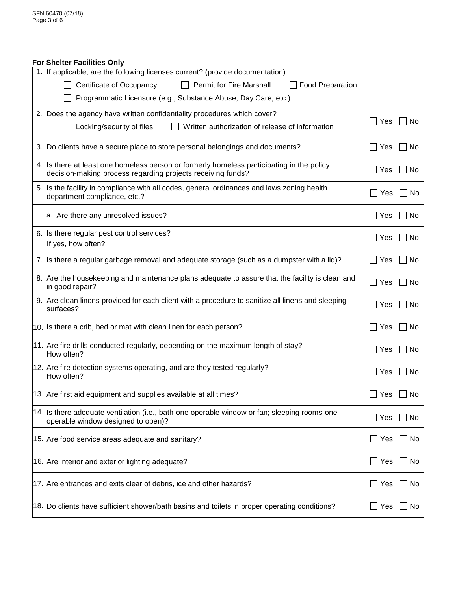### **For Shelter Facilities Only**

| 1. If applicable, are the following licenses current? (provide documentation)                                                                            |                                   |
|----------------------------------------------------------------------------------------------------------------------------------------------------------|-----------------------------------|
| <b>Permit for Fire Marshall</b><br>Certificate of Occupancy<br><b>Food Preparation</b><br>$\perp$                                                        |                                   |
| Programmatic Licensure (e.g., Substance Abuse, Day Care, etc.)                                                                                           |                                   |
| 2. Does the agency have written confidentiality procedures which cover?                                                                                  |                                   |
| Locking/security of files<br>Written authorization of release of information<br>$\perp$                                                                  | $\mathcal{L}$<br>Yes<br><b>No</b> |
| 3. Do clients have a secure place to store personal belongings and documents?                                                                            | Yes<br>. No                       |
| 4. Is there at least one homeless person or formerly homeless participating in the policy<br>decision-making process regarding projects receiving funds? | Yes<br>l No                       |
| 5. Is the facility in compliance with all codes, general ordinances and laws zoning health<br>department compliance, etc.?                               | $\Box$ Yes<br>No                  |
| a. Are there any unresolved issues?                                                                                                                      | Yes<br>No.                        |
| 6. Is there regular pest control services?<br>If yes, how often?                                                                                         | Yes<br>$\Box$<br>No               |
| 7. Is there a regular garbage removal and adequate storage (such as a dumpster with a lid)?                                                              | Yes<br>l No                       |
| 8. Are the housekeeping and maintenance plans adequate to assure that the facility is clean and<br>in good repair?                                       | $\blacksquare$<br>Yes<br>No       |
| 9. Are clean linens provided for each client with a procedure to sanitize all linens and sleeping<br>surfaces?                                           | Yes<br>No                         |
| 10. Is there a crib, bed or mat with clean linen for each person?                                                                                        | Yes<br>No<br>$\mathsf{L}$         |
| 11. Are fire drills conducted regularly, depending on the maximum length of stay?<br>How often?                                                          | Yes<br>No.                        |
| 12. Are fire detection systems operating, and are they tested regularly?<br>How often?                                                                   | Yes<br>No<br>$\blacksquare$       |
| 13. Are first aid equipment and supplies available at all times?                                                                                         | Yes<br>No                         |
| 14. Is there adequate ventilation (i.e., bath-one operable window or fan; sleeping rooms-one<br>operable window designed to open)?                       | Yes<br>No                         |
| 15. Are food service areas adequate and sanitary?                                                                                                        | $\Box$ Yes<br>No                  |
| 16. Are interior and exterior lighting adequate?                                                                                                         | _l Yes<br>No                      |
| 17. Are entrances and exits clear of debris, ice and other hazards?                                                                                      | __ Yes<br>No                      |
| 18. Do clients have sufficient shower/bath basins and toilets in proper operating conditions?                                                            | _l Yes<br>No                      |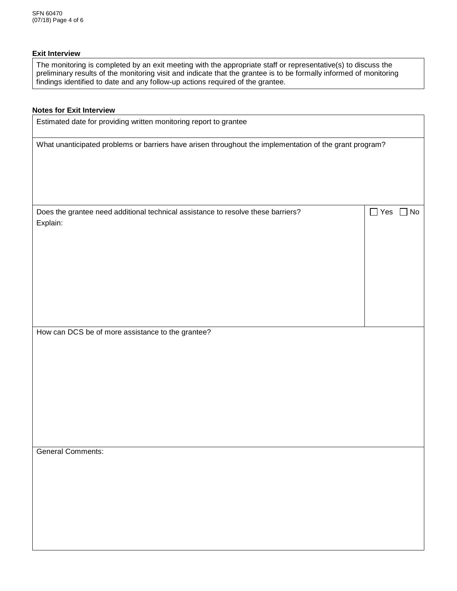### **Exit Interview**

The monitoring is completed by an exit meeting with the appropriate staff or representative(s) to discuss the preliminary results of the monitoring visit and indicate that the grantee is to be formally informed of monitoring findings identified to date and any follow-up actions required of the grantee.

## **Notes for Exit Interview**

| Estimated date for providing written monitoring report to grantee                                       |                               |  |  |
|---------------------------------------------------------------------------------------------------------|-------------------------------|--|--|
| What unanticipated problems or barriers have arisen throughout the implementation of the grant program? |                               |  |  |
|                                                                                                         |                               |  |  |
| Does the grantee need additional technical assistance to resolve these barriers?<br>Explain:            | $\square$ Yes<br>$\exists$ No |  |  |
|                                                                                                         |                               |  |  |
| How can DCS be of more assistance to the grantee?                                                       |                               |  |  |
|                                                                                                         |                               |  |  |
| <b>General Comments:</b>                                                                                |                               |  |  |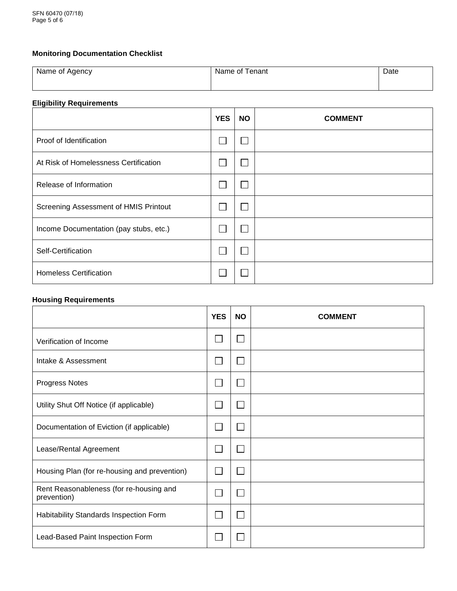# **Monitoring Documentation Checklist**

| Name of Agency | Γenant<br>Name of | Date |
|----------------|-------------------|------|
|                |                   |      |

## **Eligibility Requirements**

|                                        | <b>YES</b> | <b>NO</b> | <b>COMMENT</b> |
|----------------------------------------|------------|-----------|----------------|
| Proof of Identification                |            |           |                |
| At Risk of Homelessness Certification  |            |           |                |
| Release of Information                 |            |           |                |
| Screening Assessment of HMIS Printout  |            |           |                |
| Income Documentation (pay stubs, etc.) |            |           |                |
| Self-Certification                     |            |           |                |
| <b>Homeless Certification</b>          |            |           |                |

# **Housing Requirements**

|                                                        | <b>YES</b> | <b>NO</b> | <b>COMMENT</b> |
|--------------------------------------------------------|------------|-----------|----------------|
| Verification of Income                                 |            |           |                |
| Intake & Assessment                                    |            |           |                |
| Progress Notes                                         |            |           |                |
| Utility Shut Off Notice (if applicable)                |            |           |                |
| Documentation of Eviction (if applicable)              |            |           |                |
| Lease/Rental Agreement                                 |            |           |                |
| Housing Plan (for re-housing and prevention)           |            |           |                |
| Rent Reasonableness (for re-housing and<br>prevention) |            |           |                |
| Habitability Standards Inspection Form                 |            |           |                |
| Lead-Based Paint Inspection Form                       |            |           |                |